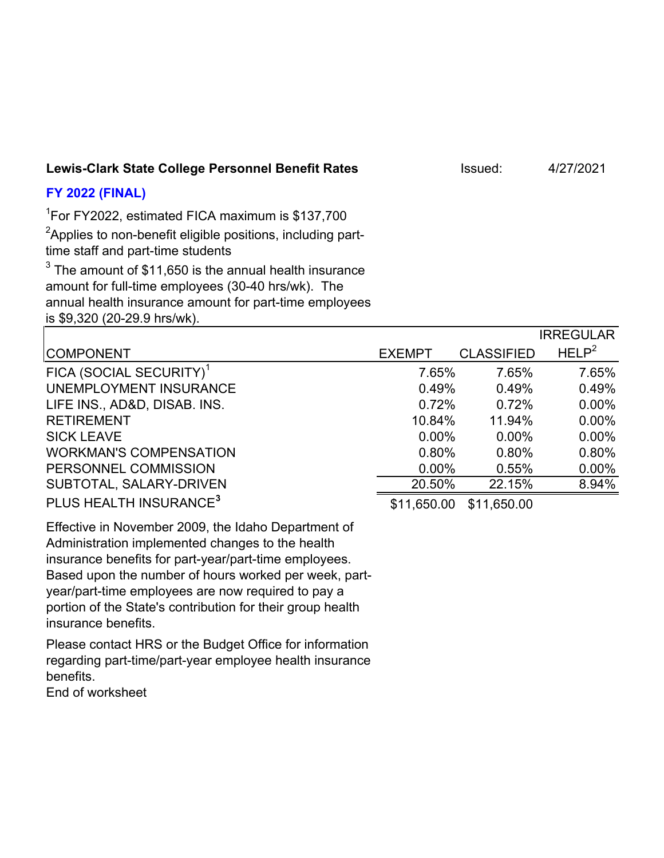## Lewis-Clark State College Personnel Benefit Rates **Internative Clark State College Personnel Benefit Rates** Issued: 4/27/2021

## **FY 2022 (FINAL)**

1 For FY2022, estimated FICA maximum is \$137,700

 $^2$ Applies to non-benefit eligible positions, including parttime staff and part-time students

 $^3$  The amount of \$11,650 is the annual health insurance amount for full-time employees (30-40 hrs/wk). The annual health insurance amount for part-time employees is \$9,320 (20-29.9 hrs/wk).

|                                     |               |                   | <b>IRREGULAR</b>  |
|-------------------------------------|---------------|-------------------|-------------------|
| <b>COMPONENT</b>                    | <b>EXEMPT</b> | <b>CLASSIFIED</b> | HELP <sup>2</sup> |
| FICA (SOCIAL SECURITY) <sup>1</sup> | 7.65%         | 7.65%             | 7.65%             |
| UNEMPLOYMENT INSURANCE              | 0.49%         | 0.49%             | 0.49%             |
| LIFE INS., AD&D, DISAB. INS.        | 0.72%         | 0.72%             | $0.00\%$          |
| <b>RETIREMENT</b>                   | 10.84%        | 11.94%            | $0.00\%$          |
| <b>SICK LEAVE</b>                   | $0.00\%$      | $0.00\%$          | $0.00\%$          |
| <b>WORKMAN'S COMPENSATION</b>       | 0.80%         | 0.80%             | 0.80%             |
| PERSONNEL COMMISSION                | $0.00\%$      | 0.55%             | $0.00\%$          |
| SUBTOTAL, SALARY-DRIVEN             | 20.50%        | 22.15%            | 8.94%             |
| PLUS HEALTH INSURANCE <sup>3</sup>  | \$11,650.00   | \$11,650.00       |                   |

Effective in November 2009, the Idaho Department of Administration implemented changes to the health insurance benefits for part-year/part-time employees. Based upon the number of hours worked per week, partyear/part-time employees are now required to pay a portion of the State's contribution for their group health insurance benefits.

Please contact HRS or the Budget Office for information regarding part-time/part-year employee health insurance benefits. End of worksheet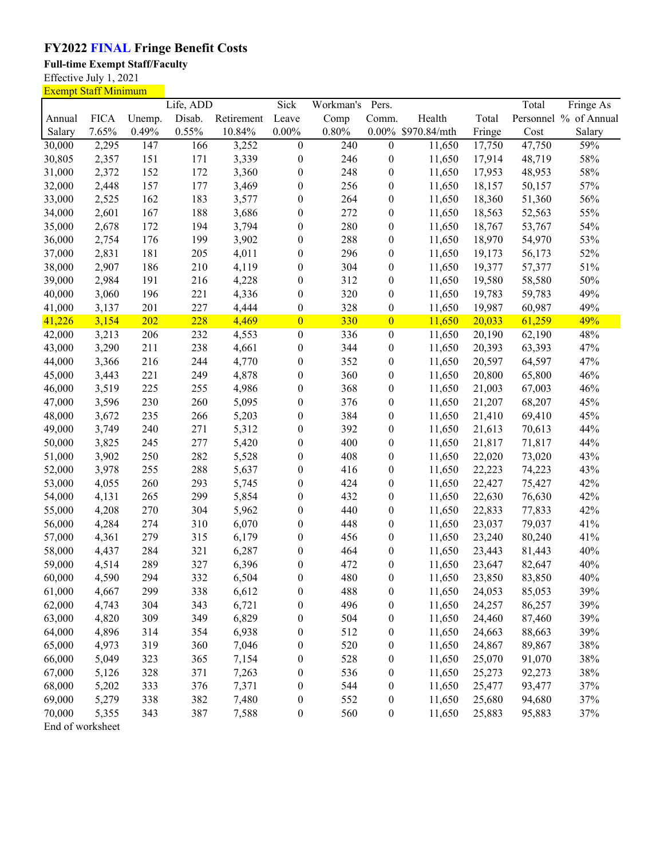## **FY2022 FINAL Fringe Benefit Costs**

**Full-time Exempt Staff/Faculty**

Effective July 1, 2021

Exempt Staff Minimum Life, ADD Sick Workman's Pers. Total Fringe As Annual FICA Unemp. Disab. Retirement Leave Comp Comm. Health Total Personnel % of Annual Salary 7.65% 0.49% 0.55% 10.84% 0.00% 0.80% 0.00% \$970.84/mth Fringe Cost Salary 30,000 2,295 147 166 3,252 0 240 0 11,650 17,750 47,750 59% 30,805 2,357 151 171 3,339 0 246 0 11,650 17,914 48,719 58% 31,000 2,372 152 172 3,360 0 248 0 11,650 17,953 48,953 58% 32,000 2,448 157 177 3,469 0 256 0 11,650 18,157 50,157 57% 33,000 2,525 162 183 3,577 0 264 0 11,650 18,360 51,360 56% 34,000 2,601 167 188 3,686 0 272 0 11,650 18,563 52,563 55% 35,000 2,678 172 194 3,794 0 280 0 11,650 18,767 53,767 54% 36,000 2,754 176 199 3,902 0 288 0 11,650 18,970 54,970 53% 37,000 2,831 181 205 4,011 0 296 0 11,650 19,173 56,173 52% 38,000 2,907 186 210 4,119 0 304 0 11,650 19,377 57,377 51% 39,000 2,984 191 216 4,228 0 312 0 11,650 19,580 58,580 50% 40,000 3,060 196 221 4,336 0 320 0 11,650 19,783 59,783 49% 41,000 3,137 201 227 4,444 0 328 0 11,650 19,987 60,987 49% 41,226 3,154 202 228 4,469 0 330 0 11,650 20,033 61,259 49% 42,000 3,213 206 232 4,553 0 336 0 11,650 20,190 62,190 48% 43,000 3,290 211 238 4,661 0 344 0 11,650 20,393 63,393 47% 44,000 3,366 216 244 4,770 0 352 0 11,650 20,597 64,597 47% 45,000 3,443 221 249 4,878 0 360 0 11,650 20,800 65,800 46% 46,000 3,519 225 255 4,986 0 368 0 11,650 21,003 67,003 46% 47,000 3,596 230 260 5,095 0 376 0 11,650 21,207 68,207 45% 48,000 3,672 235 266 5,203 0 384 0 11,650 21,410 69,410 45% 49,000 3,749 240 271 5,312 0 392 0 11,650 21,613 70,613 44% 50,000 3,825 245 277 5,420 0 400 0 11,650 21,817 71,817 44% 51,000 3,902 250 282 5,528 0 408 0 11,650 22,020 73,020 43% 52,000 3,978 255 288 5,637 0 416 0 11,650 22,223 74,223 43% 53,000 4,055 260 293 5,745 0 424 0 11,650 22,427 75,427 42% 54,000 4,131 265 299 5,854 0 432 0 11,650 22,630 76,630 42% 55,000 4,208 270 304 5,962 0 440 0 11,650 22,833 77,833 42% 56,000 4,284 274 310 6,070 0 448 0 11,650 23,037 79,037 41% 57,000 4,361 279 315 6,179 0 456 0 11,650 23,240 80,240 41% 58,000 4,437 284 321 6,287 0 464 0 11,650 23,443 81,443 40% 59,000 4,514 289 327 6,396 0 472 0 11,650 23,647 82,647 40% 60,000 4,590 294 332 6,504 0 480 0 11,650 23,850 83,850 40% 61,000 4,667 299 338 6,612 0 488 0 11,650 24,053 85,053 39% 62,000 4,743 304 343 6,721 0 496 0 11,650 24,257 86,257 39% 63,000 4,820 309 349 6,829 0 504 0 11,650 24,460 87,460 39% 64,000 4,896 314 354 6,938 0 512 0 11,650 24,663 88,663 39% 65,000 4,973 319 360 7,046 0 520 0 11,650 24,867 89,867 38% 66,000 5,049 323 365 7,154 0 528 0 11,650 25,070 91,070 38% 67,000 5,126 328 371 7,263 0 536 0 11,650 25,273 92,273 38% 68,000 5,202 333 376 7,371 0 544 0 11,650 25,477 93,477 37% 69,000 5,279 338 382 7,480 0 552 0 11,650 25,680 94,680 37% 70,000 5,355 343 387 7,588 0 560 0 11,650 25,883 95,883 37%

End of worksheet